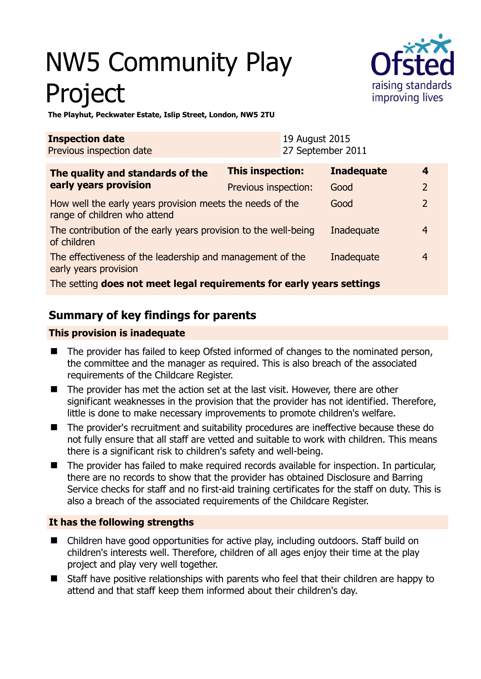# NW5 Community Play Project



**The Playhut, Peckwater Estate, Islip Street, London, NW5 2TU** 

| <b>Inspection date</b><br>Previous inspection date                                        |                         | 19 August 2015<br>27 September 2011 |                   |                |  |
|-------------------------------------------------------------------------------------------|-------------------------|-------------------------------------|-------------------|----------------|--|
| The quality and standards of the<br>early years provision                                 | <b>This inspection:</b> |                                     | <b>Inadequate</b> | 4              |  |
|                                                                                           | Previous inspection:    |                                     | Good              | $\overline{2}$ |  |
| How well the early years provision meets the needs of the<br>range of children who attend |                         |                                     | Good              | $\overline{2}$ |  |
| The contribution of the early years provision to the well-being<br>of children            |                         |                                     | Inadequate        | 4              |  |
| The effectiveness of the leadership and management of the<br>early years provision        |                         |                                     | Inadequate        | 4              |  |
| The setting does not meet legal requirements for early years settings                     |                         |                                     |                   |                |  |

## **Summary of key findings for parents**

#### **This provision is inadequate**

- The provider has failed to keep Ofsted informed of changes to the nominated person, the committee and the manager as required. This is also breach of the associated requirements of the Childcare Register.
- The provider has met the action set at the last visit. However, there are other significant weaknesses in the provision that the provider has not identified. Therefore, little is done to make necessary improvements to promote children's welfare.
- The provider's recruitment and suitability procedures are ineffective because these do not fully ensure that all staff are vetted and suitable to work with children. This means there is a significant risk to children's safety and well-being.
- The provider has failed to make required records available for inspection. In particular, there are no records to show that the provider has obtained Disclosure and Barring Service checks for staff and no first-aid training certificates for the staff on duty. This is also a breach of the associated requirements of the Childcare Register.

#### **It has the following strengths**

- Children have good opportunities for active play, including outdoors. Staff build on children's interests well. Therefore, children of all ages enjoy their time at the play project and play very well together.
- Staff have positive relationships with parents who feel that their children are happy to attend and that staff keep them informed about their children's day.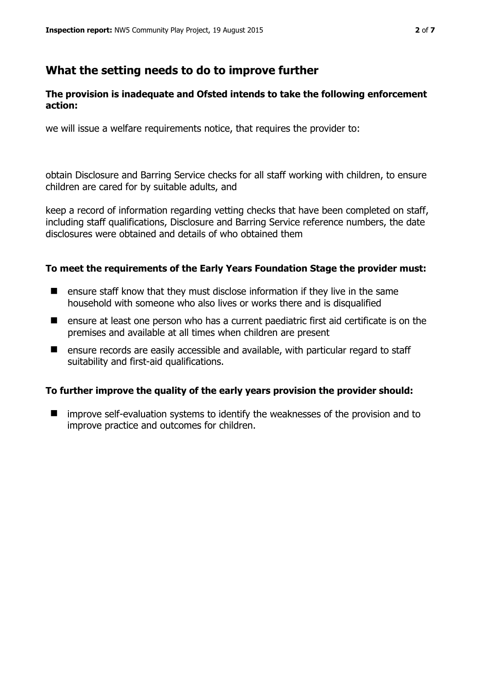## **What the setting needs to do to improve further**

#### **The provision is inadequate and Ofsted intends to take the following enforcement action:**

we will issue a welfare requirements notice, that requires the provider to:

obtain Disclosure and Barring Service checks for all staff working with children, to ensure children are cared for by suitable adults, and

keep a record of information regarding vetting checks that have been completed on staff, including staff qualifications, Disclosure and Barring Service reference numbers, the date disclosures were obtained and details of who obtained them

#### **To meet the requirements of the Early Years Foundation Stage the provider must:**

- $\blacksquare$  ensure staff know that they must disclose information if they live in the same household with someone who also lives or works there and is disqualified
- $\blacksquare$  ensure at least one person who has a current paediatric first aid certificate is on the premises and available at all times when children are present
- ensure records are easily accessible and available, with particular regard to staff suitability and first-aid qualifications.

#### **To further improve the quality of the early years provision the provider should:**

 improve self-evaluation systems to identify the weaknesses of the provision and to improve practice and outcomes for children.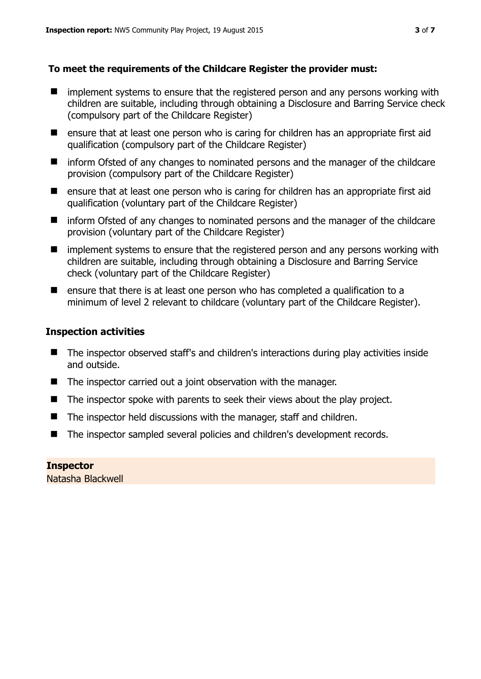#### **To meet the requirements of the Childcare Register the provider must:**

- **I** implement systems to ensure that the registered person and any persons working with children are suitable, including through obtaining a Disclosure and Barring Service check (compulsory part of the Childcare Register)
- ensure that at least one person who is caring for children has an appropriate first aid qualification (compulsory part of the Childcare Register)
- inform Ofsted of any changes to nominated persons and the manager of the childcare provision (compulsory part of the Childcare Register)
- ensure that at least one person who is caring for children has an appropriate first aid qualification (voluntary part of the Childcare Register)
- inform Ofsted of any changes to nominated persons and the manager of the childcare provision (voluntary part of the Childcare Register)
- **I** implement systems to ensure that the registered person and any persons working with children are suitable, including through obtaining a Disclosure and Barring Service check (voluntary part of the Childcare Register)
- $\blacksquare$  ensure that there is at least one person who has completed a qualification to a minimum of level 2 relevant to childcare (voluntary part of the Childcare Register).

#### **Inspection activities**

- The inspector observed staff's and children's interactions during play activities inside and outside.
- The inspector carried out a joint observation with the manager.
- The inspector spoke with parents to seek their views about the play project.
- The inspector held discussions with the manager, staff and children.
- The inspector sampled several policies and children's development records.

#### **Inspector**  Natasha Blackwell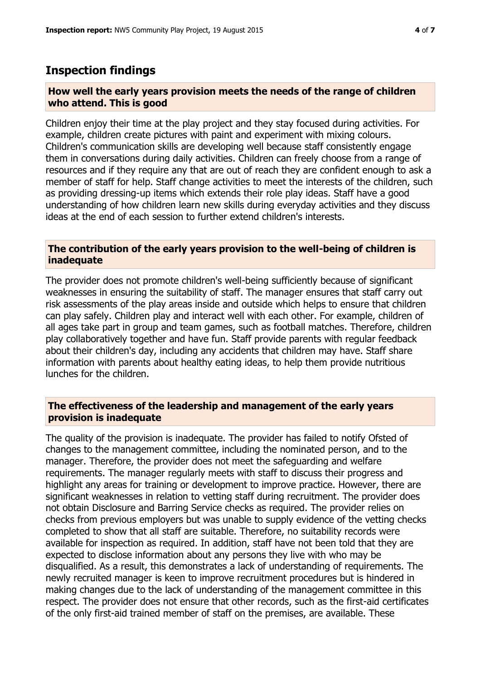## **Inspection findings**

#### **How well the early years provision meets the needs of the range of children who attend. This is good**

Children enjoy their time at the play project and they stay focused during activities. For example, children create pictures with paint and experiment with mixing colours. Children's communication skills are developing well because staff consistently engage them in conversations during daily activities. Children can freely choose from a range of resources and if they require any that are out of reach they are confident enough to ask a member of staff for help. Staff change activities to meet the interests of the children, such as providing dressing-up items which extends their role play ideas. Staff have a good understanding of how children learn new skills during everyday activities and they discuss ideas at the end of each session to further extend children's interests.

#### **The contribution of the early years provision to the well-being of children is inadequate**

The provider does not promote children's well-being sufficiently because of significant weaknesses in ensuring the suitability of staff. The manager ensures that staff carry out risk assessments of the play areas inside and outside which helps to ensure that children can play safely. Children play and interact well with each other. For example, children of all ages take part in group and team games, such as football matches. Therefore, children play collaboratively together and have fun. Staff provide parents with regular feedback about their children's day, including any accidents that children may have. Staff share information with parents about healthy eating ideas, to help them provide nutritious lunches for the children.

#### **The effectiveness of the leadership and management of the early years provision is inadequate**

The quality of the provision is inadequate. The provider has failed to notify Ofsted of changes to the management committee, including the nominated person, and to the manager. Therefore, the provider does not meet the safeguarding and welfare requirements. The manager regularly meets with staff to discuss their progress and highlight any areas for training or development to improve practice. However, there are significant weaknesses in relation to vetting staff during recruitment. The provider does not obtain Disclosure and Barring Service checks as required. The provider relies on checks from previous employers but was unable to supply evidence of the vetting checks completed to show that all staff are suitable. Therefore, no suitability records were available for inspection as required. In addition, staff have not been told that they are expected to disclose information about any persons they live with who may be disqualified. As a result, this demonstrates a lack of understanding of requirements. The newly recruited manager is keen to improve recruitment procedures but is hindered in making changes due to the lack of understanding of the management committee in this respect. The provider does not ensure that other records, such as the first-aid certificates of the only first-aid trained member of staff on the premises, are available. These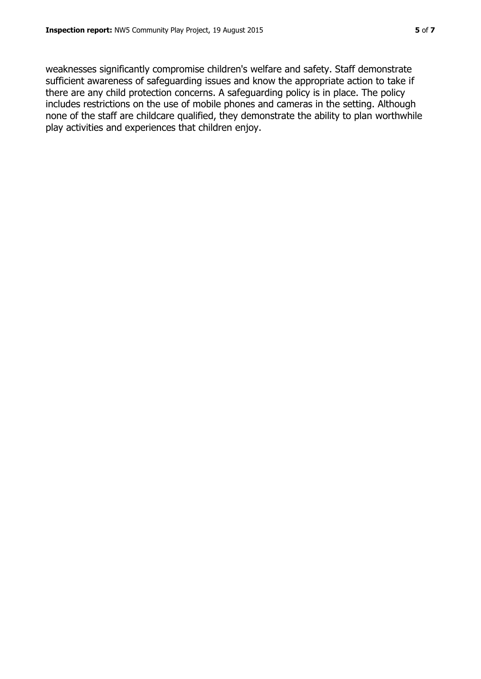weaknesses significantly compromise children's welfare and safety. Staff demonstrate sufficient awareness of safeguarding issues and know the appropriate action to take if there are any child protection concerns. A safeguarding policy is in place. The policy includes restrictions on the use of mobile phones and cameras in the setting. Although none of the staff are childcare qualified, they demonstrate the ability to plan worthwhile play activities and experiences that children enjoy.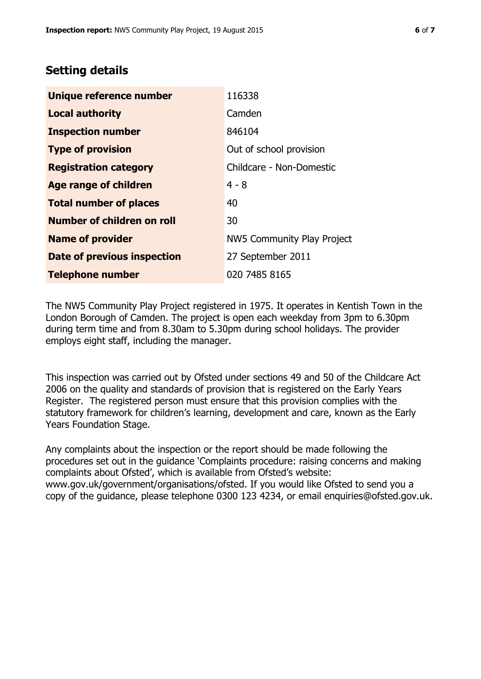# **Setting details**

| <b>Unique reference number</b>     | 116338                     |
|------------------------------------|----------------------------|
| <b>Local authority</b>             | Camden                     |
| <b>Inspection number</b>           | 846104                     |
| <b>Type of provision</b>           | Out of school provision    |
| <b>Registration category</b>       | Childcare - Non-Domestic   |
| <b>Age range of children</b>       | $4 - 8$                    |
| <b>Total number of places</b>      | 40                         |
| Number of children on roll         | 30                         |
| <b>Name of provider</b>            | NW5 Community Play Project |
| <b>Date of previous inspection</b> | 27 September 2011          |
| <b>Telephone number</b>            | 020 7485 8165              |

The NW5 Community Play Project registered in 1975. It operates in Kentish Town in the London Borough of Camden. The project is open each weekday from 3pm to 6.30pm during term time and from 8.30am to 5.30pm during school holidays. The provider employs eight staff, including the manager.

This inspection was carried out by Ofsted under sections 49 and 50 of the Childcare Act 2006 on the quality and standards of provision that is registered on the Early Years Register. The registered person must ensure that this provision complies with the statutory framework for children's learning, development and care, known as the Early Years Foundation Stage.

Any complaints about the inspection or the report should be made following the procedures set out in the guidance 'Complaints procedure: raising concerns and making complaints about Ofsted', which is available from Ofsted's website: www.gov.uk/government/organisations/ofsted. If you would like Ofsted to send you a copy of the guidance, please telephone 0300 123 4234, or email enquiries@ofsted.gov.uk.